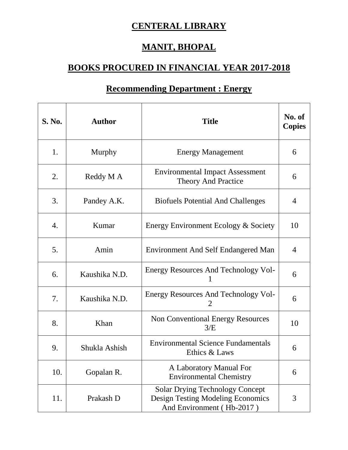## **CENTERAL LIBRARY**

### **MANIT, BHOPAL**

### **BOOKS PROCURED IN FINANCIAL YEAR 2017-2018**

# **S.** No. **1 Author Title No. of No. of No. of Copies** 1. Murphy Renergy Management 1. 6 2. Reddy M A Environmental Impact Assessment Theory And Practice 6 3. Pandey A.K. Siofuels Potential And Challenges 4 4. Kumar Energy Environment Ecology & Society 10 5. Amin Financellin Environment And Self Endangered Man | 4 6. Kaushika N.D. Energy Resources And Technology Vol-1 6 7. Kaushika N.D. Energy Resources And Technology Vol-2 6 8. Khan Non Conventional Energy Resources  $3/E$  10 9. Shukla Ashish Environmental Science Fundamentals Ethics & Laws 6 10. Gopalan R. A Laboratory Manual For Environmental Chemistry 6 11. Prakash D Solar Drying Technology Concept Design Testing Modeling Economics 3

And Environment ( Hb-2017 )

#### **Recommending Department : Energy**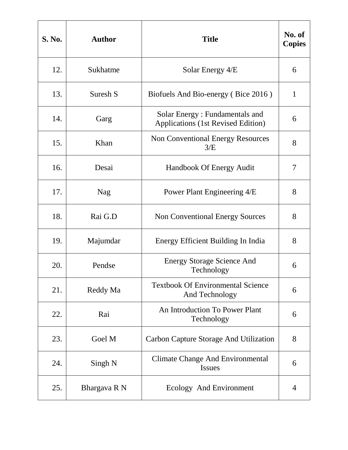| <b>S. No.</b> | <b>Author</b> | <b>Title</b>                                                                | No. of<br><b>Copies</b> |
|---------------|---------------|-----------------------------------------------------------------------------|-------------------------|
| 12.           | Sukhatme      | Solar Energy $4/E$                                                          | 6                       |
| 13.           | Suresh S      | Biofuels And Bio-energy (Bice 2016)                                         | $\mathbf{1}$            |
| 14.           | Garg          | Solar Energy: Fundamentals and<br><b>Applications (1st Revised Edition)</b> | 6                       |
| 15.           | Khan          | <b>Non Conventional Energy Resources</b><br>3/E                             | 8                       |
| 16.           | Desai         | Handbook Of Energy Audit                                                    | 7                       |
| 17.           | <b>Nag</b>    | Power Plant Engineering 4/E                                                 | 8                       |
| 18.           | Rai G.D       | <b>Non Conventional Energy Sources</b>                                      | 8                       |
| 19.           | Majumdar      | Energy Efficient Building In India                                          | 8                       |
| 20.           | Pendse        | <b>Energy Storage Science And</b><br>Technology                             | 6                       |
| 21.           | Reddy Ma      | <b>Textbook Of Environmental Science</b><br>And Technology                  | 6                       |
| 22.           | Rai           | An Introduction To Power Plant<br>Technology                                | 6                       |
| 23.           | Goel M        | Carbon Capture Storage And Utilization                                      | 8                       |
| 24.           | Singh N       | <b>Climate Change And Environmental</b><br><b>Issues</b>                    | 6                       |
| 25.           | Bhargava R N  | Ecology And Environment                                                     | 4                       |